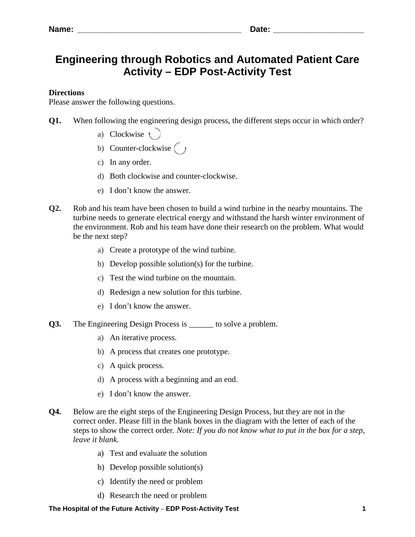## **Engineering through Robotics and Automated Patient Care Activity – EDP Post-Activity Test**

## **Directions**

Please answer the following questions.

- **Q1.** When following the engineering design process, the different steps occur in which order?
	- a) Clockwise  $\left\langle \right\rangle$
	- b) Counter-clockwise  $\begin{bmatrix} \end{bmatrix}$
	- c) In any order.
	- d) Both clockwise and counter-clockwise.
	- e) I don't know the answer.
- **Q2.** Rob and his team have been chosen to build a wind turbine in the nearby mountains. The turbine needs to generate electrical energy and withstand the harsh winter environment of the environment. Rob and his team have done their research on the problem. What would be the next step?
	- a) Create a prototype of the wind turbine.
	- b) Develop possible solution(s) for the turbine.
	- c) Test the wind turbine on the mountain.
	- d) Redesign a new solution for this turbine.
	- e) I don't know the answer.
- **Q3.** The Engineering Design Process is \_\_\_\_\_\_ to solve a problem.
	- a) An iterative process.
	- b) A process that creates one prototype.
	- c) A quick process.
	- d) A process with a beginning and an end.
	- e) I don't know the answer.
- **Q4.** Below are the eight steps of the Engineering Design Process, but they are not in the correct order. Please fill in the blank boxes in the diagram with the letter of each of the steps to show the correct order. *Note: If you do not know what to put in the box for a step, leave it blank.*
	- a) Test and evaluate the solution
	- b) Develop possible solution(s)
	- c) Identify the need or problem
	- d) Research the need or problem

## **The Hospital of the Future Activity** – **EDP Post-Activity Test 1**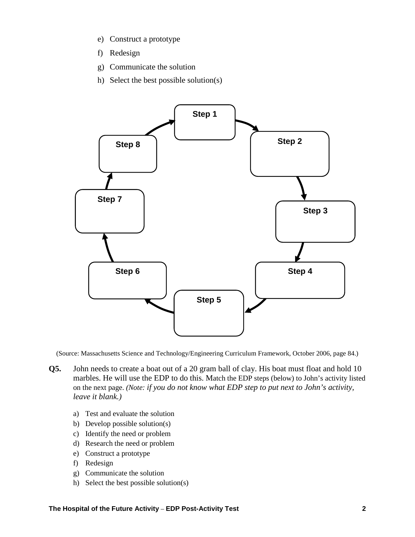- e) Construct a prototype
- f) Redesign
- g) Communicate the solution
- h) Select the best possible solution(s)



(Source: Massachusetts Science and Technology/Engineering Curriculum Framework, October 2006, page 84.)

- **Q5.** John needs to create a boat out of a 20 gram ball of clay. His boat must float and hold 10 marbles. He will use the EDP to do this. Match the EDP steps (below) to John's activity listed on the next page. *(Note: if you do not know what EDP step to put next to John's activity, leave it blank.)* 
	- a) Test and evaluate the solution
	- b) Develop possible solution(s)
	- c) Identify the need or problem
	- d) Research the need or problem
	- e) Construct a prototype
	- f) Redesign
	- g) Communicate the solution
	- h) Select the best possible solution(s)